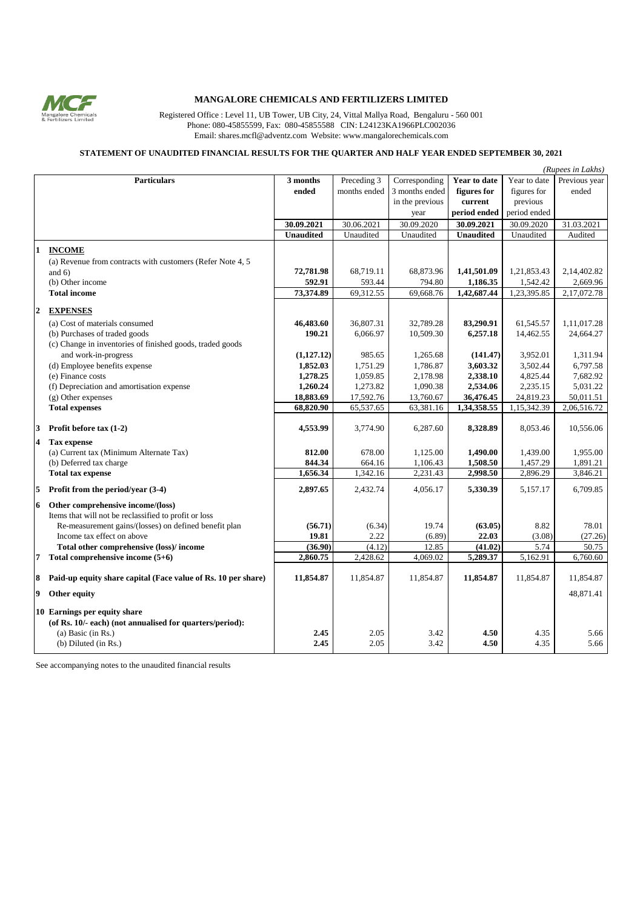

## **MANGALORE CHEMICALS AND FERTILIZERS LIMITED**

Registered Office : Level 11, UB Tower, UB City, 24, Vittal Mallya Road, Bengaluru - 560 001 Phone: 080-45855599, Fax: 080-45855588 CIN: L24123KA1966PLC002036 Email: shares.mcfl@adventz.com Website: www.mangalorechemicals.com

## **STATEMENT OF UNAUDITED FINANCIAL RESULTS FOR THE QUARTER AND HALF YEAR ENDED SEPTEMBER 30, 2021**

|              |                                                                 |                  |              |                 |                  |              | (Rupees in Lakhs) |
|--------------|-----------------------------------------------------------------|------------------|--------------|-----------------|------------------|--------------|-------------------|
|              | <b>Particulars</b>                                              | 3 months         | Preceding 3  | Corresponding   | Year to date     | Year to date | Previous year     |
|              |                                                                 | ended            | months ended | 3 months ended  | figures for      | figures for  | ended             |
|              |                                                                 |                  |              | in the previous | current          | previous     |                   |
|              |                                                                 |                  |              | year            | period ended     | period ended |                   |
|              |                                                                 | 30.09.2021       | 30.06.2021   | 30.09.2020      | 30.09.2021       | 30.09.2020   | 31.03.2021        |
|              |                                                                 | <b>Unaudited</b> | Unaudited    | Unaudited       | <b>Unaudited</b> | Unaudited    | Audited           |
|              |                                                                 |                  |              |                 |                  |              |                   |
|              | <b>INCOME</b>                                                   |                  |              |                 |                  |              |                   |
|              | (a) Revenue from contracts with customers (Refer Note 4, 5      |                  |              |                 |                  |              |                   |
|              | and $6)$                                                        | 72,781.98        | 68,719.11    | 68,873.96       | 1,41,501.09      | 1,21,853.43  | 2,14,402.82       |
|              | (b) Other income                                                | 592.91           | 593.44       | 794.80          | 1,186.35         | 1,542.42     | 2,669.96          |
|              | <b>Total income</b>                                             | 73,374.89        | 69,312.55    | 69,668.76       | 1,42,687.44      | 1,23,395.85  | 2,17,072.78       |
| $\mathbf{2}$ | <b>EXPENSES</b>                                                 |                  |              |                 |                  |              |                   |
|              | (a) Cost of materials consumed                                  | 46,483.60        | 36,807.31    | 32,789.28       | 83,290.91        | 61,545.57    | 1,11,017.28       |
|              | (b) Purchases of traded goods                                   | 190.21           | 6,066.97     | 10,509.30       | 6,257.18         | 14,462.55    | 24,664.27         |
|              | (c) Change in inventories of finished goods, traded goods       |                  |              |                 |                  |              |                   |
|              | and work-in-progress                                            | (1,127,12)       | 985.65       | 1,265.68        | (141.47)         | 3,952.01     | 1,311.94          |
|              | (d) Employee benefits expense                                   | 1,852.03         | 1,751.29     | 1,786.87        | 3,603.32         | 3,502.44     | 6,797.58          |
|              | (e) Finance costs                                               | 1,278.25         | 1,059.85     | 2,178.98        | 2,338.10         | 4,825.44     | 7,682.92          |
|              | (f) Depreciation and amortisation expense                       | 1,260.24         | 1,273.82     | 1,090.38        | 2,534.06         | 2,235.15     | 5,031.22          |
|              | (g) Other expenses                                              | 18,883.69        | 17,592.76    | 13,760.67       | 36,476.45        | 24,819.23    | 50,011.51         |
|              | <b>Total expenses</b>                                           | 68,820.90        | 65,537.65    | 63,381.16       | 1,34,358.55      | 1,15,342.39  | 2,06,516.72       |
|              |                                                                 |                  |              |                 |                  |              |                   |
| 3            | Profit before $\text{tax}(1-2)$                                 | 4,553.99         | 3,774.90     | 6,287.60        | 8,328.89         | 8,053.46     | 10,556.06         |
| 4            | <b>Tax expense</b>                                              |                  |              |                 |                  |              |                   |
|              | (a) Current tax (Minimum Alternate Tax)                         | 812.00           | 678.00       | 1.125.00        | 1.490.00         | 1,439.00     | 1,955.00          |
|              | (b) Deferred tax charge                                         | 844.34           | 664.16       | 1,106.43        | 1,508.50         | 1,457.29     | 1,891.21          |
|              | <b>Total tax expense</b>                                        | 1,656.34         | 1,342.16     | 2,231.43        | 2,998.50         | 2,896.29     | 3,846.21          |
| 5.           | Profit from the period/year (3-4)                               | 2,897.65         | 2,432.74     | 4,056.17        | 5,330.39         | 5,157.17     | 6,709.85          |
|              |                                                                 |                  |              |                 |                  |              |                   |
| 6            | Other comprehensive income/(loss)                               |                  |              |                 |                  |              |                   |
|              | Items that will not be reclassified to profit or loss           |                  |              |                 |                  |              |                   |
|              | Re-measurement gains/(losses) on defined benefit plan           | (56.71)          | (6.34)       | 19.74           | (63.05)          | 8.82         | 78.01             |
|              | Income tax effect on above                                      | 19.81            | 2.22         | (6.89)          | 22.03            | (3.08)       | (27.26)           |
|              | Total other comprehensive (loss)/income                         | (36.90)          | (4.12)       | 12.85           | (41.02)          | 5.74         | 50.75             |
| 7            | Total comprehensive income (5+6)                                | 2,860.75         | 2,428.62     | 4,069.02        | 5,289.37         | 5,162.91     | 6,760.60          |
|              | 8 Paid-up equity share capital (Face value of Rs. 10 per share) | 11,854.87        | 11,854.87    | 11,854.87       | 11,854.87        | 11,854.87    | 11,854.87         |
|              | 9 Other equity                                                  |                  |              |                 |                  |              | 48,871.41         |
|              | 10 Earnings per equity share                                    |                  |              |                 |                  |              |                   |
|              | (of Rs. 10/- each) (not annualised for quarters/period):        |                  |              |                 |                  |              |                   |
|              | (a) Basic (in $Rs.$ )                                           | 2.45             | 2.05         | 3.42            | 4.50             | 4.35         | 5.66              |
|              | (b) Diluted (in Rs.)                                            | 2.45             | 2.05         | 3.42            | 4.50             | 4.35         | 5.66              |
|              |                                                                 |                  |              |                 |                  |              |                   |

See accompanying notes to the unaudited financial results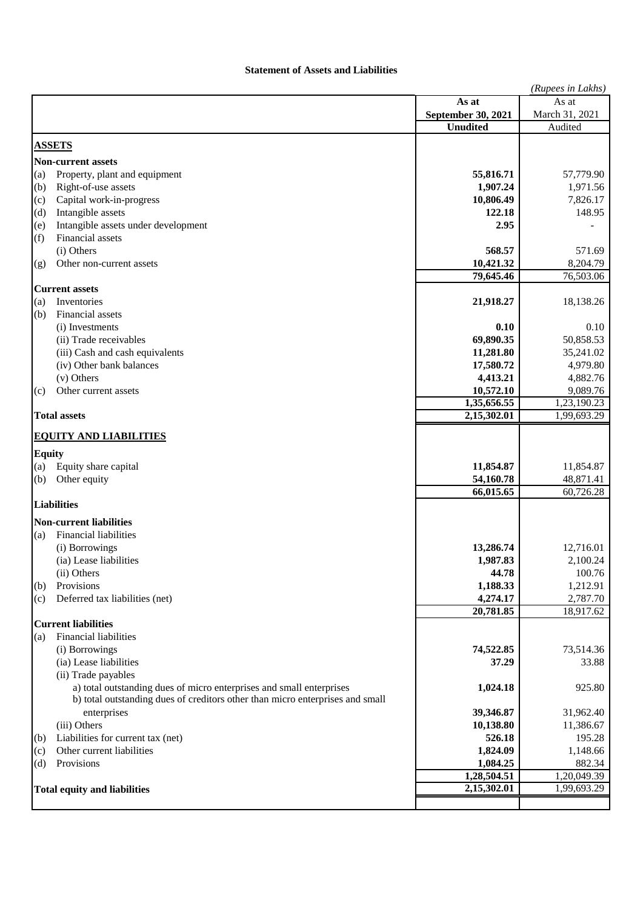## **Statement of Assets and Liabilities**

|               |                                                                               |                       | (Rupees in Lakhs) |
|---------------|-------------------------------------------------------------------------------|-----------------------|-------------------|
|               |                                                                               | As at                 | As at             |
|               |                                                                               | September 30, 2021    | March 31, 2021    |
|               |                                                                               | <b>Unudited</b>       | Audited           |
|               | <b>ASSETS</b>                                                                 |                       |                   |
|               | <b>Non-current assets</b>                                                     |                       |                   |
| (a)           | Property, plant and equipment                                                 | 55,816.71             | 57,779.90         |
| (b)           | Right-of-use assets                                                           | 1,907.24              | 1,971.56          |
| (c)           | Capital work-in-progress                                                      | 10,806.49             | 7,826.17          |
| (d)           | Intangible assets                                                             | 122.18                | 148.95            |
| (e)           | Intangible assets under development                                           | 2.95                  |                   |
| (f)           | Financial assets                                                              |                       |                   |
|               | (i) Others                                                                    | 568.57                | 571.69            |
| (g)           | Other non-current assets                                                      | 10,421.32             | 8,204.79          |
|               |                                                                               | 79,645.46             | 76,503.06         |
|               | <b>Current assets</b>                                                         |                       |                   |
| (a)           | Inventories                                                                   | 21,918.27             | 18,138.26         |
| (b)           | Financial assets<br>(i) Investments                                           | 0.10                  | 0.10              |
|               | (ii) Trade receivables                                                        | 69,890.35             | 50,858.53         |
|               | (iii) Cash and cash equivalents                                               | 11,281.80             | 35,241.02         |
|               | (iv) Other bank balances                                                      | 17,580.72             | 4,979.80          |
|               | (v) Others                                                                    | 4,413.21              | 4,882.76          |
| (c)           | Other current assets                                                          | 10,572.10             | 9,089.76          |
|               |                                                                               | 1,35,656.55           | 1,23,190.23       |
|               | <b>Total assets</b>                                                           | 2,15,302.01           | 1,99,693.29       |
|               |                                                                               |                       |                   |
|               | <b>EQUITY AND LIABILITIES</b>                                                 |                       |                   |
| <b>Equity</b> |                                                                               |                       |                   |
| (a)           | Equity share capital                                                          | 11,854.87             | 11,854.87         |
| (b)           | Other equity                                                                  | 54,160.78             | 48,871.41         |
|               |                                                                               | 66,015.65             | 60,726.28         |
|               | <b>Liabilities</b>                                                            |                       |                   |
|               | <b>Non-current liabilities</b>                                                |                       |                   |
| (a)           | Financial liabilities                                                         |                       |                   |
|               | (i) Borrowings                                                                | 13,286.74             | 12,716.01         |
|               | (ia) Lease liabilities                                                        | 1,987.83              | 2,100.24          |
|               | (ii) Others                                                                   | 44.78                 | 100.76            |
| (b)           | Provisions                                                                    | 1,188.33              | 1,212.91          |
| (c)           | Deferred tax liabilities (net)                                                | 4,274.17<br>20,781.85 | 2,787.70          |
|               | <b>Current liabilities</b>                                                    |                       | 18,917.62         |
| (a)           | <b>Financial liabilities</b>                                                  |                       |                   |
|               | (i) Borrowings                                                                | 74,522.85             | 73,514.36         |
|               | (ia) Lease liabilities                                                        | 37.29                 | 33.88             |
|               | (ii) Trade payables                                                           |                       |                   |
|               | a) total outstanding dues of micro enterprises and small enterprises          | 1,024.18              | 925.80            |
|               | b) total outstanding dues of creditors other than micro enterprises and small |                       |                   |
|               | enterprises                                                                   | 39,346.87             | 31,962.40         |
|               | (iii) Others                                                                  | 10,138.80             | 11,386.67         |
| (b)           | Liabilities for current tax (net)                                             | 526.18                | 195.28            |
| (c)           | Other current liabilities                                                     | 1,824.09              | 1,148.66          |
| (d)           | Provisions                                                                    | 1,084.25              | 882.34            |
|               |                                                                               | 1,28,504.51           | 1,20,049.39       |
|               | <b>Total equity and liabilities</b>                                           | 2,15,302.01           | 1,99,693.29       |
|               |                                                                               |                       |                   |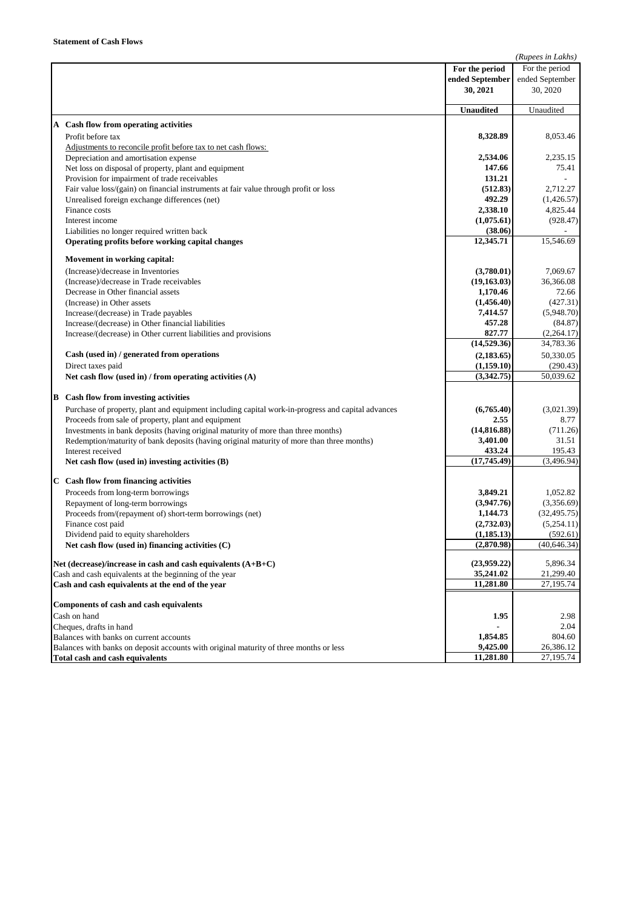| For the period<br>For the period<br>ended September<br>ended September<br>30, 2021<br>30, 2020<br>Unaudited<br>Unaudited<br>A Cash flow from operating activities<br>Profit before tax<br>8,328.89<br>8,053.46<br>Adjustments to reconcile profit before tax to net cash flows:<br>Depreciation and amortisation expense<br>2,534.06<br>2,235.15<br>Net loss on disposal of property, plant and equipment<br>147.66<br>75.41<br>Provision for impairment of trade receivables<br>131.21<br>Fair value loss/(gain) on financial instruments at fair value through profit or loss<br>(512.83)<br>2,712.27<br>Unrealised foreign exchange differences (net)<br>492.29<br>(1,426.57)<br>4,825.44<br>Finance costs<br>2,338.10<br>Interest income<br>(1,075.61)<br>(928.47)<br>(38.06)<br>Liabilities no longer required written back<br>12,345.71<br>15,546.69<br>Operating profits before working capital changes<br>Movement in working capital:<br>(3,780.01)<br>7,069.67<br>(Increase)/decrease in Inventories<br>(19, 163.03)<br>36,366.08<br>(Increase)/decrease in Trade receivables<br>Decrease in Other financial assets<br>1,170.46<br>72.66<br>(Increase) in Other assets<br>(1,456.40)<br>(427.31)<br>7,414.57<br>(5,948.70)<br>Increase/(decrease) in Trade payables<br>457.28<br>(84.87)<br>Increase/(decrease) in Other financial liabilities<br>827.77<br>(2,264.17)<br>Increase/(decrease) in Other current liabilities and provisions<br>(14,529.36)<br>34,783.36 |
|---------------------------------------------------------------------------------------------------------------------------------------------------------------------------------------------------------------------------------------------------------------------------------------------------------------------------------------------------------------------------------------------------------------------------------------------------------------------------------------------------------------------------------------------------------------------------------------------------------------------------------------------------------------------------------------------------------------------------------------------------------------------------------------------------------------------------------------------------------------------------------------------------------------------------------------------------------------------------------------------------------------------------------------------------------------------------------------------------------------------------------------------------------------------------------------------------------------------------------------------------------------------------------------------------------------------------------------------------------------------------------------------------------------------------------------------------------------------------------|
|                                                                                                                                                                                                                                                                                                                                                                                                                                                                                                                                                                                                                                                                                                                                                                                                                                                                                                                                                                                                                                                                                                                                                                                                                                                                                                                                                                                                                                                                                 |
|                                                                                                                                                                                                                                                                                                                                                                                                                                                                                                                                                                                                                                                                                                                                                                                                                                                                                                                                                                                                                                                                                                                                                                                                                                                                                                                                                                                                                                                                                 |
|                                                                                                                                                                                                                                                                                                                                                                                                                                                                                                                                                                                                                                                                                                                                                                                                                                                                                                                                                                                                                                                                                                                                                                                                                                                                                                                                                                                                                                                                                 |
|                                                                                                                                                                                                                                                                                                                                                                                                                                                                                                                                                                                                                                                                                                                                                                                                                                                                                                                                                                                                                                                                                                                                                                                                                                                                                                                                                                                                                                                                                 |
|                                                                                                                                                                                                                                                                                                                                                                                                                                                                                                                                                                                                                                                                                                                                                                                                                                                                                                                                                                                                                                                                                                                                                                                                                                                                                                                                                                                                                                                                                 |
|                                                                                                                                                                                                                                                                                                                                                                                                                                                                                                                                                                                                                                                                                                                                                                                                                                                                                                                                                                                                                                                                                                                                                                                                                                                                                                                                                                                                                                                                                 |
|                                                                                                                                                                                                                                                                                                                                                                                                                                                                                                                                                                                                                                                                                                                                                                                                                                                                                                                                                                                                                                                                                                                                                                                                                                                                                                                                                                                                                                                                                 |
|                                                                                                                                                                                                                                                                                                                                                                                                                                                                                                                                                                                                                                                                                                                                                                                                                                                                                                                                                                                                                                                                                                                                                                                                                                                                                                                                                                                                                                                                                 |
|                                                                                                                                                                                                                                                                                                                                                                                                                                                                                                                                                                                                                                                                                                                                                                                                                                                                                                                                                                                                                                                                                                                                                                                                                                                                                                                                                                                                                                                                                 |
|                                                                                                                                                                                                                                                                                                                                                                                                                                                                                                                                                                                                                                                                                                                                                                                                                                                                                                                                                                                                                                                                                                                                                                                                                                                                                                                                                                                                                                                                                 |
|                                                                                                                                                                                                                                                                                                                                                                                                                                                                                                                                                                                                                                                                                                                                                                                                                                                                                                                                                                                                                                                                                                                                                                                                                                                                                                                                                                                                                                                                                 |
|                                                                                                                                                                                                                                                                                                                                                                                                                                                                                                                                                                                                                                                                                                                                                                                                                                                                                                                                                                                                                                                                                                                                                                                                                                                                                                                                                                                                                                                                                 |
|                                                                                                                                                                                                                                                                                                                                                                                                                                                                                                                                                                                                                                                                                                                                                                                                                                                                                                                                                                                                                                                                                                                                                                                                                                                                                                                                                                                                                                                                                 |
|                                                                                                                                                                                                                                                                                                                                                                                                                                                                                                                                                                                                                                                                                                                                                                                                                                                                                                                                                                                                                                                                                                                                                                                                                                                                                                                                                                                                                                                                                 |
|                                                                                                                                                                                                                                                                                                                                                                                                                                                                                                                                                                                                                                                                                                                                                                                                                                                                                                                                                                                                                                                                                                                                                                                                                                                                                                                                                                                                                                                                                 |
|                                                                                                                                                                                                                                                                                                                                                                                                                                                                                                                                                                                                                                                                                                                                                                                                                                                                                                                                                                                                                                                                                                                                                                                                                                                                                                                                                                                                                                                                                 |
|                                                                                                                                                                                                                                                                                                                                                                                                                                                                                                                                                                                                                                                                                                                                                                                                                                                                                                                                                                                                                                                                                                                                                                                                                                                                                                                                                                                                                                                                                 |
|                                                                                                                                                                                                                                                                                                                                                                                                                                                                                                                                                                                                                                                                                                                                                                                                                                                                                                                                                                                                                                                                                                                                                                                                                                                                                                                                                                                                                                                                                 |
|                                                                                                                                                                                                                                                                                                                                                                                                                                                                                                                                                                                                                                                                                                                                                                                                                                                                                                                                                                                                                                                                                                                                                                                                                                                                                                                                                                                                                                                                                 |
|                                                                                                                                                                                                                                                                                                                                                                                                                                                                                                                                                                                                                                                                                                                                                                                                                                                                                                                                                                                                                                                                                                                                                                                                                                                                                                                                                                                                                                                                                 |
|                                                                                                                                                                                                                                                                                                                                                                                                                                                                                                                                                                                                                                                                                                                                                                                                                                                                                                                                                                                                                                                                                                                                                                                                                                                                                                                                                                                                                                                                                 |
|                                                                                                                                                                                                                                                                                                                                                                                                                                                                                                                                                                                                                                                                                                                                                                                                                                                                                                                                                                                                                                                                                                                                                                                                                                                                                                                                                                                                                                                                                 |
|                                                                                                                                                                                                                                                                                                                                                                                                                                                                                                                                                                                                                                                                                                                                                                                                                                                                                                                                                                                                                                                                                                                                                                                                                                                                                                                                                                                                                                                                                 |
|                                                                                                                                                                                                                                                                                                                                                                                                                                                                                                                                                                                                                                                                                                                                                                                                                                                                                                                                                                                                                                                                                                                                                                                                                                                                                                                                                                                                                                                                                 |
|                                                                                                                                                                                                                                                                                                                                                                                                                                                                                                                                                                                                                                                                                                                                                                                                                                                                                                                                                                                                                                                                                                                                                                                                                                                                                                                                                                                                                                                                                 |
|                                                                                                                                                                                                                                                                                                                                                                                                                                                                                                                                                                                                                                                                                                                                                                                                                                                                                                                                                                                                                                                                                                                                                                                                                                                                                                                                                                                                                                                                                 |
|                                                                                                                                                                                                                                                                                                                                                                                                                                                                                                                                                                                                                                                                                                                                                                                                                                                                                                                                                                                                                                                                                                                                                                                                                                                                                                                                                                                                                                                                                 |
| Cash (used in) / generated from operations<br>(2, 183.65)<br>50,330.05                                                                                                                                                                                                                                                                                                                                                                                                                                                                                                                                                                                                                                                                                                                                                                                                                                                                                                                                                                                                                                                                                                                                                                                                                                                                                                                                                                                                          |
| Direct taxes paid<br>(1,159.10)<br>(290.43)                                                                                                                                                                                                                                                                                                                                                                                                                                                                                                                                                                                                                                                                                                                                                                                                                                                                                                                                                                                                                                                                                                                                                                                                                                                                                                                                                                                                                                     |
| (3,342.75)<br>50,039.62<br>Net cash flow (used in) / from operating activities (A)                                                                                                                                                                                                                                                                                                                                                                                                                                                                                                                                                                                                                                                                                                                                                                                                                                                                                                                                                                                                                                                                                                                                                                                                                                                                                                                                                                                              |
| <b>B</b> Cash flow from investing activities                                                                                                                                                                                                                                                                                                                                                                                                                                                                                                                                                                                                                                                                                                                                                                                                                                                                                                                                                                                                                                                                                                                                                                                                                                                                                                                                                                                                                                    |
| (6,765.40)<br>(3,021.39)<br>Purchase of property, plant and equipment including capital work-in-progress and capital advances                                                                                                                                                                                                                                                                                                                                                                                                                                                                                                                                                                                                                                                                                                                                                                                                                                                                                                                                                                                                                                                                                                                                                                                                                                                                                                                                                   |
| Proceeds from sale of property, plant and equipment<br>2.55<br>8.77                                                                                                                                                                                                                                                                                                                                                                                                                                                                                                                                                                                                                                                                                                                                                                                                                                                                                                                                                                                                                                                                                                                                                                                                                                                                                                                                                                                                             |
| Investments in bank deposits (having original maturity of more than three months)<br>(14,816.88)<br>(711.26)                                                                                                                                                                                                                                                                                                                                                                                                                                                                                                                                                                                                                                                                                                                                                                                                                                                                                                                                                                                                                                                                                                                                                                                                                                                                                                                                                                    |
| 3,401.00<br>31.51<br>Redemption/maturity of bank deposits (having original maturity of more than three months)                                                                                                                                                                                                                                                                                                                                                                                                                                                                                                                                                                                                                                                                                                                                                                                                                                                                                                                                                                                                                                                                                                                                                                                                                                                                                                                                                                  |
| 433.24<br>195.43<br>Interest received                                                                                                                                                                                                                                                                                                                                                                                                                                                                                                                                                                                                                                                                                                                                                                                                                                                                                                                                                                                                                                                                                                                                                                                                                                                                                                                                                                                                                                           |
| (17,745.49)<br>(3,496.94)<br>Net cash flow (used in) investing activities (B)                                                                                                                                                                                                                                                                                                                                                                                                                                                                                                                                                                                                                                                                                                                                                                                                                                                                                                                                                                                                                                                                                                                                                                                                                                                                                                                                                                                                   |
|                                                                                                                                                                                                                                                                                                                                                                                                                                                                                                                                                                                                                                                                                                                                                                                                                                                                                                                                                                                                                                                                                                                                                                                                                                                                                                                                                                                                                                                                                 |
| C Cash flow from financing activities                                                                                                                                                                                                                                                                                                                                                                                                                                                                                                                                                                                                                                                                                                                                                                                                                                                                                                                                                                                                                                                                                                                                                                                                                                                                                                                                                                                                                                           |
| Proceeds from long-term borrowings<br>3,849.21<br>1,052.82                                                                                                                                                                                                                                                                                                                                                                                                                                                                                                                                                                                                                                                                                                                                                                                                                                                                                                                                                                                                                                                                                                                                                                                                                                                                                                                                                                                                                      |
| (3,947.76)<br>(3,356.69)<br>Repayment of long-term borrowings                                                                                                                                                                                                                                                                                                                                                                                                                                                                                                                                                                                                                                                                                                                                                                                                                                                                                                                                                                                                                                                                                                                                                                                                                                                                                                                                                                                                                   |
| 1,144.73<br>(32, 495.75)<br>Proceeds from/(repayment of) short-term borrowings (net)                                                                                                                                                                                                                                                                                                                                                                                                                                                                                                                                                                                                                                                                                                                                                                                                                                                                                                                                                                                                                                                                                                                                                                                                                                                                                                                                                                                            |
| (2,732.03)<br>(5,254.11)<br>Finance cost paid                                                                                                                                                                                                                                                                                                                                                                                                                                                                                                                                                                                                                                                                                                                                                                                                                                                                                                                                                                                                                                                                                                                                                                                                                                                                                                                                                                                                                                   |
| (1, 185.13)<br>(592.61)<br>Dividend paid to equity shareholders                                                                                                                                                                                                                                                                                                                                                                                                                                                                                                                                                                                                                                                                                                                                                                                                                                                                                                                                                                                                                                                                                                                                                                                                                                                                                                                                                                                                                 |
| (2,870.98)<br>(40, 646.34)<br>Net cash flow (used in) financing activities $(C)$                                                                                                                                                                                                                                                                                                                                                                                                                                                                                                                                                                                                                                                                                                                                                                                                                                                                                                                                                                                                                                                                                                                                                                                                                                                                                                                                                                                                |
|                                                                                                                                                                                                                                                                                                                                                                                                                                                                                                                                                                                                                                                                                                                                                                                                                                                                                                                                                                                                                                                                                                                                                                                                                                                                                                                                                                                                                                                                                 |
| Net (decrease)/increase in cash and cash equivalents $(A+B+C)$<br>(23,959.22)<br>5,896.34                                                                                                                                                                                                                                                                                                                                                                                                                                                                                                                                                                                                                                                                                                                                                                                                                                                                                                                                                                                                                                                                                                                                                                                                                                                                                                                                                                                       |
| Cash and cash equivalents at the beginning of the year<br>35,241.02<br>21,299.40<br>11,281.80<br>27,195.74                                                                                                                                                                                                                                                                                                                                                                                                                                                                                                                                                                                                                                                                                                                                                                                                                                                                                                                                                                                                                                                                                                                                                                                                                                                                                                                                                                      |
| Cash and cash equivalents at the end of the year                                                                                                                                                                                                                                                                                                                                                                                                                                                                                                                                                                                                                                                                                                                                                                                                                                                                                                                                                                                                                                                                                                                                                                                                                                                                                                                                                                                                                                |
| Components of cash and cash equivalents                                                                                                                                                                                                                                                                                                                                                                                                                                                                                                                                                                                                                                                                                                                                                                                                                                                                                                                                                                                                                                                                                                                                                                                                                                                                                                                                                                                                                                         |
| 2.98<br>Cash on hand<br>1.95                                                                                                                                                                                                                                                                                                                                                                                                                                                                                                                                                                                                                                                                                                                                                                                                                                                                                                                                                                                                                                                                                                                                                                                                                                                                                                                                                                                                                                                    |
| Cheques, drafts in hand<br>2.04                                                                                                                                                                                                                                                                                                                                                                                                                                                                                                                                                                                                                                                                                                                                                                                                                                                                                                                                                                                                                                                                                                                                                                                                                                                                                                                                                                                                                                                 |
| Balances with banks on current accounts<br>1,854.85<br>804.60                                                                                                                                                                                                                                                                                                                                                                                                                                                                                                                                                                                                                                                                                                                                                                                                                                                                                                                                                                                                                                                                                                                                                                                                                                                                                                                                                                                                                   |
| 9,425.00<br>26,386.12<br>Balances with banks on deposit accounts with original maturity of three months or less                                                                                                                                                                                                                                                                                                                                                                                                                                                                                                                                                                                                                                                                                                                                                                                                                                                                                                                                                                                                                                                                                                                                                                                                                                                                                                                                                                 |
| 11,281.80<br>Total cash and cash equivalents<br>27,195.74                                                                                                                                                                                                                                                                                                                                                                                                                                                                                                                                                                                                                                                                                                                                                                                                                                                                                                                                                                                                                                                                                                                                                                                                                                                                                                                                                                                                                       |